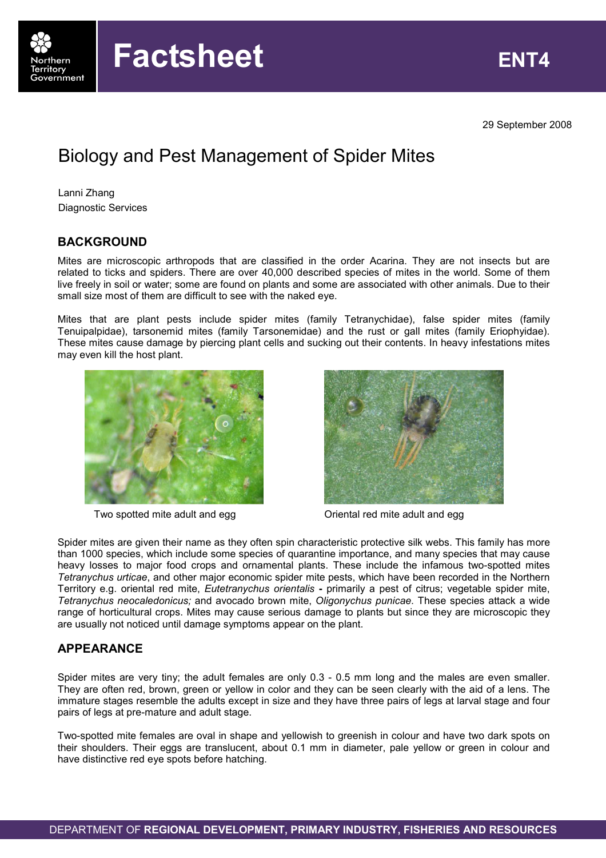

29 September 2008

# Biology and Pest Management of Spider Mites

Lanni Zhang Diagnostic Services

## **BACKGROUND**

Mites are microscopic arthropods that are classified in the order Acarina. They are not insects but are related to ticks and spiders. There are over 40,000 described species of mites in the world. Some of them live freely in soil or water; some are found on plants and some are associated with other animals. Due to their small size most of them are difficult to see with the naked eye.

Mites that are plant pests include spider mites (family Tetranychidae), false spider mites (family Tenuipalpidae), tarsonemid mites (family Tarsonemidae) and the rust or gall mites (family Eriophyidae). These mites cause damage by piercing plant cells and sucking out their contents. In heavy infestations mites may even kill the host plant.



Two spotted mite adult and egg Two Spotted mite adult and egg



Spider mites are given their name as they often spin characteristic protective silk webs. This family has more than 1000 species, which include some species of quarantine importance, and many species that may cause heavy losses to major food crops and ornamental plants. These include the infamous two-spotted mites Tetranychus urticae, and other major economic spider mite pests, which have been recorded in the Northern Territory e.g. oriental red mite, Eutetranychus orientalis - primarily a pest of citrus; vegetable spider mite, Tetranychus neocaledonicus; and avocado brown mite, Oligonychus punicae. These species attack a wide range of horticultural crops. Mites may cause serious damage to plants but since they are microscopic they are usually not noticed until damage symptoms appear on the plant.

# APPEARANCE

Spider mites are very tiny; the adult females are only 0.3 - 0.5 mm long and the males are even smaller. They are often red, brown, green or yellow in color and they can be seen clearly with the aid of a lens. The immature stages resemble the adults except in size and they have three pairs of legs at larval stage and four pairs of legs at pre-mature and adult stage.

Two-spotted mite females are oval in shape and yellowish to greenish in colour and have two dark spots on their shoulders. Their eggs are translucent, about 0.1 mm in diameter, pale yellow or green in colour and have distinctive red eye spots before hatching.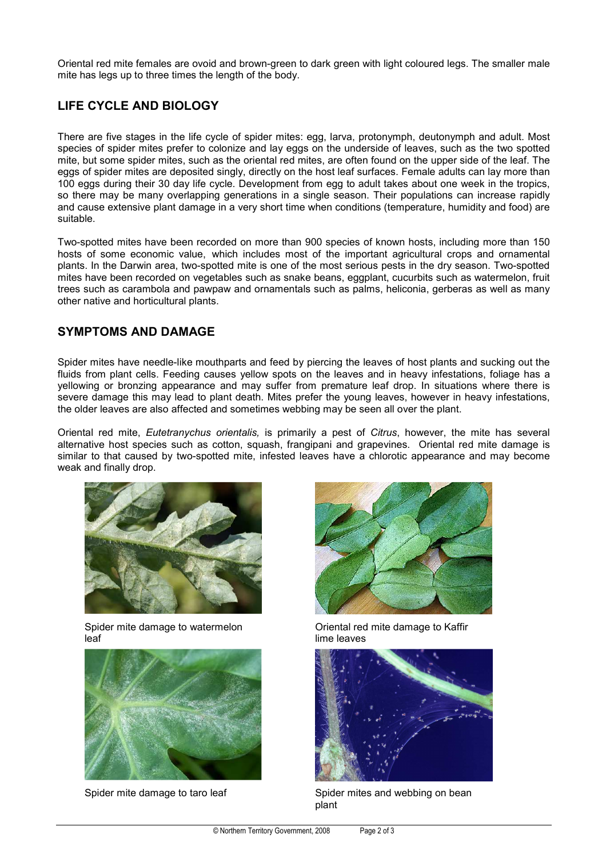Oriental red mite females are ovoid and brown-green to dark green with light coloured legs. The smaller male mite has legs up to three times the length of the body.

# LIFE CYCLE AND BIOLOGY

There are five stages in the life cycle of spider mites: egg, larva, protonymph, deutonymph and adult. Most species of spider mites prefer to colonize and lay eggs on the underside of leaves, such as the two spotted mite, but some spider mites, such as the oriental red mites, are often found on the upper side of the leaf. The eggs of spider mites are deposited singly, directly on the host leaf surfaces. Female adults can lay more than 100 eggs during their 30 day life cycle. Development from egg to adult takes about one week in the tropics, so there may be many overlapping generations in a single season. Their populations can increase rapidly and cause extensive plant damage in a very short time when conditions (temperature, humidity and food) are suitable.

Two-spotted mites have been recorded on more than 900 species of known hosts, including more than 150 hosts of some economic value, which includes most of the important agricultural crops and ornamental plants. In the Darwin area, two-spotted mite is one of the most serious pests in the dry season. Two-spotted mites have been recorded on vegetables such as snake beans, eggplant, cucurbits such as watermelon, fruit trees such as carambola and pawpaw and ornamentals such as palms, heliconia, gerberas as well as many other native and horticultural plants.

### SYMPTOMS AND DAMAGE

Spider mites have needle-like mouthparts and feed by piercing the leaves of host plants and sucking out the fluids from plant cells. Feeding causes yellow spots on the leaves and in heavy infestations, foliage has a yellowing or bronzing appearance and may suffer from premature leaf drop. In situations where there is severe damage this may lead to plant death. Mites prefer the young leaves, however in heavy infestations, the older leaves are also affected and sometimes webbing may be seen all over the plant.

Oriental red mite, Eutetranychus orientalis, is primarily a pest of Citrus, however, the mite has several alternative host species such as cotton, squash, frangipani and grapevines. Oriental red mite damage is similar to that caused by two-spotted mite, infested leaves have a chlorotic appearance and may become weak and finally drop.



Spider mite damage to watermelon leaf





Oriental red mite damage to Kaffir lime leaves



Spider mite damage to taro leaf Spider mites and webbing on bean plant